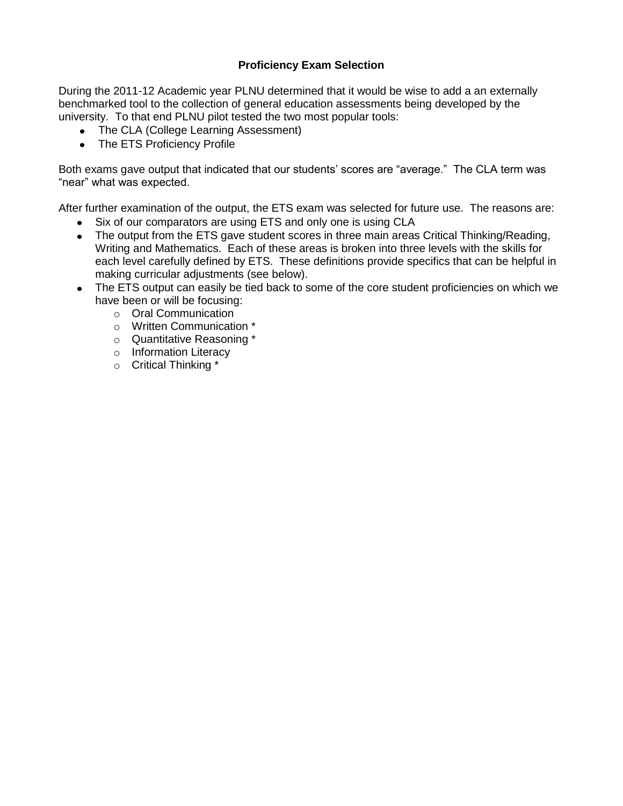#### **Proficiency Exam Selection**

During the 2011-12 Academic year PLNU determined that it would be wise to add a an externally benchmarked tool to the collection of general education assessments being developed by the university. To that end PLNU pilot tested the two most popular tools:

- The CLA (College Learning Assessment)
- The ETS Proficiency Profile

Both exams gave output that indicated that our students' scores are "average." The CLA term was "near" what was expected.

After further examination of the output, the ETS exam was selected for future use. The reasons are:

- Six of our comparators are using ETS and only one is using CLA
- The output from the ETS gave student scores in three main areas Critical Thinking/Reading, Writing and Mathematics. Each of these areas is broken into three levels with the skills for each level carefully defined by ETS. These definitions provide specifics that can be helpful in making curricular adjustments (see below).
- The ETS output can easily be tied back to some of the core student proficiencies on which we have been or will be focusing:
	- o Oral Communication
	- o Written Communication \*
	- o Quantitative Reasoning \*
	- o Information Literacy
	- o Critical Thinking \*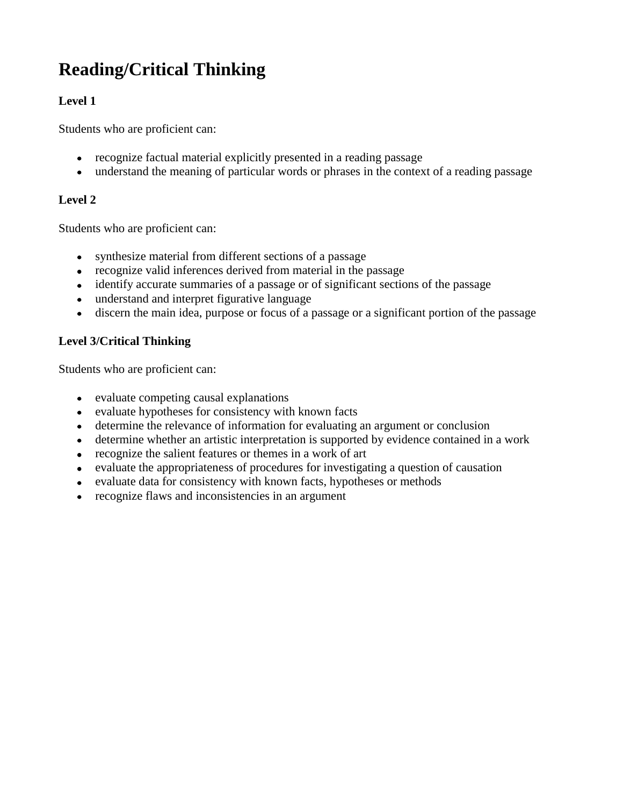# **Reading/Critical Thinking**

## **Level 1**

Students who are proficient can:

- recognize factual material explicitly presented in a reading passage
- understand the meaning of particular words or phrases in the context of a reading passage

## **Level 2**

Students who are proficient can:

- synthesize material from different sections of a passage
- recognize valid inferences derived from material in the passage
- identify accurate summaries of a passage or of significant sections of the passage
- understand and interpret figurative language
- discern the main idea, purpose or focus of a passage or a significant portion of the passage

## **Level 3/Critical Thinking**

Students who are proficient can:

- evaluate competing causal explanations
- evaluate hypotheses for consistency with known facts
- determine the relevance of information for evaluating an argument or conclusion
- determine whether an artistic interpretation is supported by evidence contained in a work
- recognize the salient features or themes in a work of art
- evaluate the appropriateness of procedures for investigating a question of causation
- evaluate data for consistency with known facts, hypotheses or methods
- recognize flaws and inconsistencies in an argument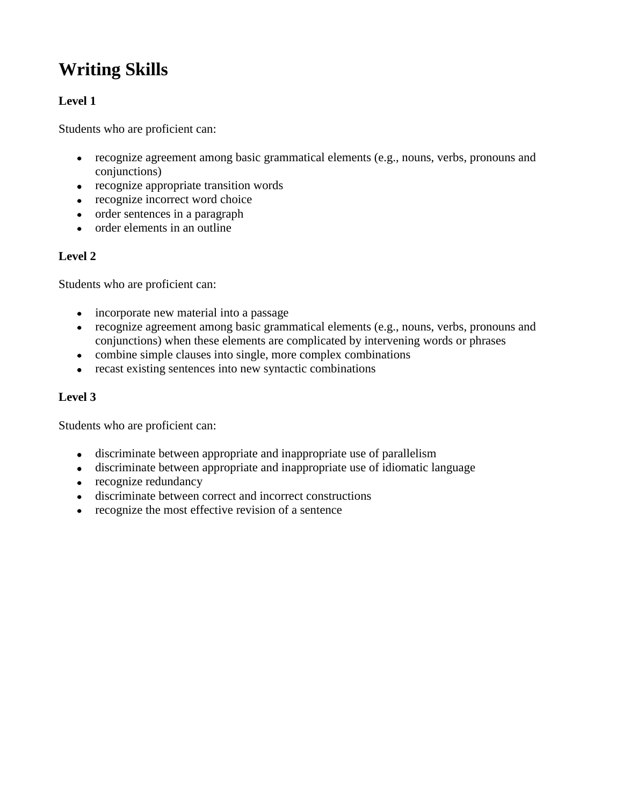# **Writing Skills**

## **Level 1**

Students who are proficient can:

- recognize agreement among basic grammatical elements (e.g., nouns, verbs, pronouns and conjunctions)
- recognize appropriate transition words
- recognize incorrect word choice
- order sentences in a paragraph
- order elements in an outline

#### **Level 2**

Students who are proficient can:

- incorporate new material into a passage
- recognize agreement among basic grammatical elements (e.g., nouns, verbs, pronouns and conjunctions) when these elements are complicated by intervening words or phrases
- combine simple clauses into single, more complex combinations
- recast existing sentences into new syntactic combinations

#### **Level 3**

Students who are proficient can:

- discriminate between appropriate and inappropriate use of parallelism
- discriminate between appropriate and inappropriate use of idiomatic language
- recognize redundancy
- discriminate between correct and incorrect constructions
- recognize the most effective revision of a sentence